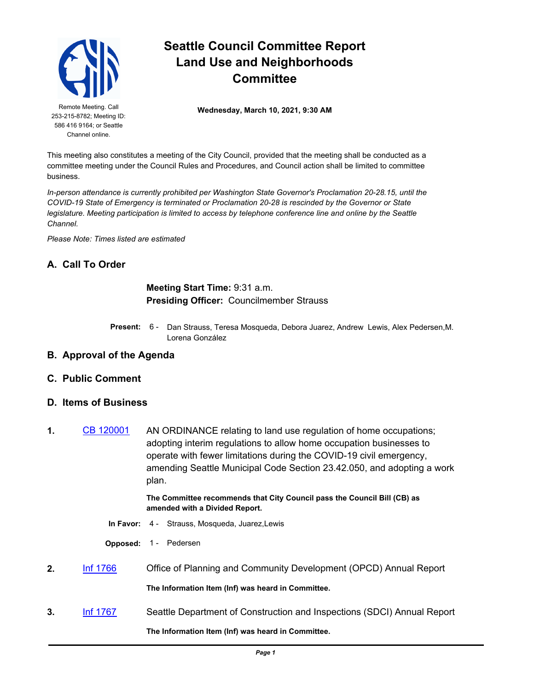

253-215-8782; Meeting ID: 586 416 9164; or Seattle Channel online.

# **Seattle Council Committee Report Land Use and Neighborhoods Committee**

Remote Meeting. Call **Wednesday, March 10, 2021, 9:30 AM** 

This meeting also constitutes a meeting of the City Council, provided that the meeting shall be conducted as a committee meeting under the Council Rules and Procedures, and Council action shall be limited to committee business.

*In-person attendance is currently prohibited per Washington State Governor's Proclamation 20-28.15, until the COVID-19 State of Emergency is terminated or Proclamation 20-28 is rescinded by the Governor or State legislature. Meeting participation is limited to access by telephone conference line and online by the Seattle Channel.*

*Please Note: Times listed are estimated*

### **A. Call To Order**

#### **Meeting Start Time:** 9:31 a.m. **Presiding Officer:** Councilmember Strauss

- Present: 6 Dan Strauss, Teresa Mosqueda, Debora Juarez, Andrew Lewis, Alex Pedersen, M. Lorena González
- **B. Approval of the Agenda**
- **C. Public Comment**
- **D. Items of Business**
- **1.** [CB 120001](http://seattle.legistar.com/gateway.aspx?m=l&id=/matter.aspx?key=11388) AN ORDINANCE relating to land use regulation of home occupations; adopting interim regulations to allow home occupation businesses to operate with fewer limitations during the COVID-19 civil emergency, amending Seattle Municipal Code Section 23.42.050, and adopting a work plan.

#### **The Committee recommends that City Council pass the Council Bill (CB) as amended with a Divided Report.**

- **In Favor:** 4 Strauss, Mosqueda, Juarez,Lewis
- **Opposed:** 1 Pedersen
- **2.** [Inf 1766](http://seattle.legistar.com/gateway.aspx?m=l&id=/matter.aspx?key=11441) Office of Planning and Community Development (OPCD) Annual Report **The Information Item (Inf) was heard in Committee.**
- **3.** [Inf 1767](http://seattle.legistar.com/gateway.aspx?m=l&id=/matter.aspx?key=11442) Seattle Department of Construction and Inspections (SDCI) Annual Report **The Information Item (Inf) was heard in Committee.**